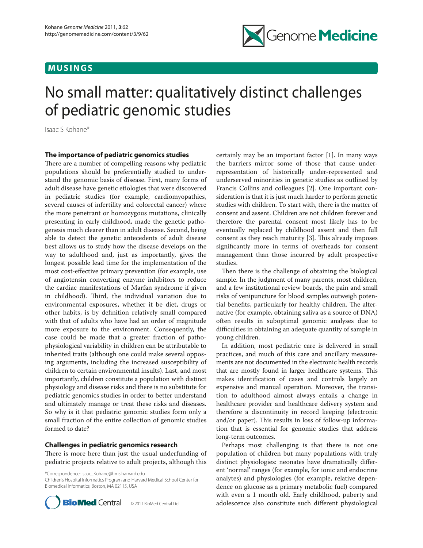# **MUSINGS**



# No small matter: qualitatively distinct challenges of pediatric genomic studies

Isaac S Kohane\*

**The importance of pediatric genomics studies**

There are a number of compelling reasons why pediatric populations should be preferentially studied to understand the genomic basis of disease. First, many forms of adult disease have genetic etiologies that were discovered in pediatric studies (for example, cardiomyopathies, several causes of infertility and colorectal cancer) where the more penetrant or homozygous mutations, clinically presenting in early childhood, made the genetic pathogenesis much clearer than in adult disease. Second, being able to detect the genetic antecedents of adult disease best allows us to study how the disease develops on the way to adulthood and, just as importantly, gives the longest possible lead time for the implementation of the most cost-effective primary prevention (for example, use of angiotensin converting enzyme inhibitors to reduce the cardiac manifestations of Marfan syndrome if given in childhood). Third, the individual variation due to environmental exposures, whether it be diet, drugs or other habits, is by definition relatively small compared with that of adults who have had an order of magnitude more exposure to the environment. Consequently, the case could be made that a greater fraction of pathophysiological variability in children can be attributable to inherited traits (although one could make several opposing arguments, including the increased susceptibility of children to certain environmental insults). Last, and most importantly, children constitute a population with distinct physiology and disease risks and there is no substitute for pediatric genomics studies in order to better understand and ultimately manage or treat these risks and diseases. So why is it that pediatric genomic studies form only a small fraction of the entire collection of genomic studies formed to date?

## **Challenges in pediatric genomics research**

There is more here than just the usual underfunding of pediatric projects relative to adult projects, although this

\*Correspondence: Isaac\_Kohane@hms.harvard.edu Children's Hospital Informatics Program and Harvard Medical School Center for Biomedical Informatics, Boston, MA 02115, USA



certainly may be an important factor [1]. In many ways the barriers mirror some of those that cause underrepresentation of historically under-represented and underserved minorities in genetic studies as outlined by Francis Collins and colleagues [2]. One important consideration is that it is just much harder to perform genetic studies with children. To start with, there is the matter of consent and assent. Children are not children forever and therefore the parental consent most likely has to be eventually replaced by childhood assent and then full consent as they reach maturity [3]. This already imposes significantly more in terms of overheads for consent management than those incurred by adult prospective studies.

Then there is the challenge of obtaining the biological sample. In the judgment of many parents, most children, and a few institutional review boards, the pain and small risks of venipuncture for blood samples outweigh potential benefits, particularly for healthy children. The alternative (for example, obtaining saliva as a source of DNA) often results in suboptimal genomic analyses due to difficulties in obtaining an adequate quantity of sample in young children.

In addition, most pediatric care is delivered in small practices, and much of this care and ancillary measurements are not documented in the electronic health records that are mostly found in larger healthcare systems. This makes identification of cases and controls largely an expensive and manual operation. Moreover, the transition to adulthood almost always entails a change in healthcare provider and healthcare delivery system and therefore a discontinuity in record keeping (electronic and/or paper). This results in loss of follow-up information that is essential for genomic studies that address long-term outcomes.

Perhaps most challenging is that there is not one population of children but many populations with truly distinct physiologies: neonates have dramatically different 'normal' ranges (for example, for ionic and endocrine analytes) and physiologies (for example, relative dependence on glucose as a primary metabolic fuel) compared with even a 1 month old. Early childhood, puberty and adolescence also constitute such different physiological